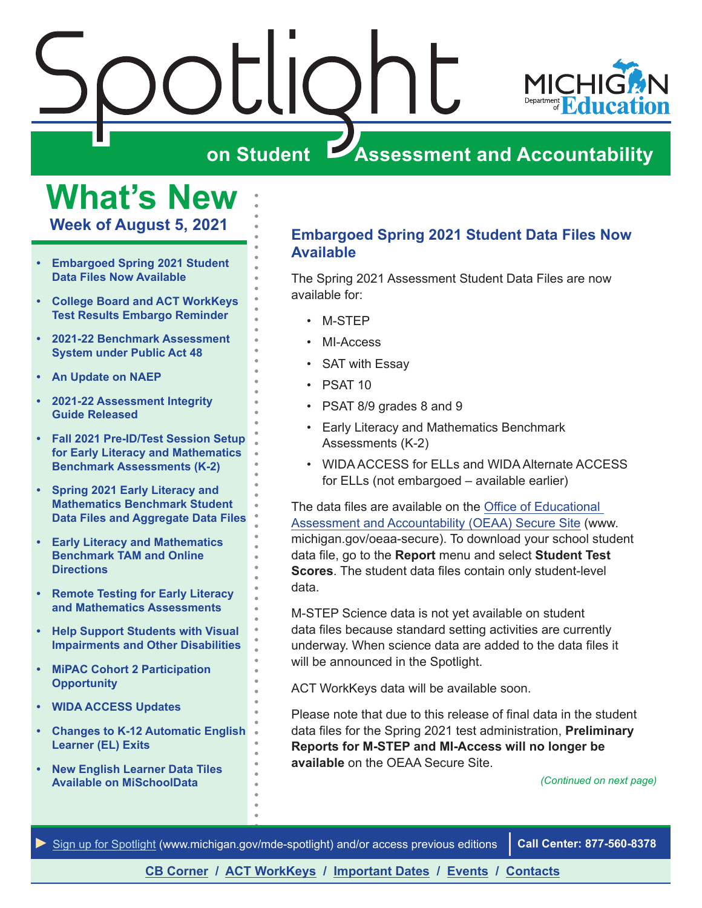

## **What's New**

**Week of August 5, 2021**

- **• Embargoed Spring 2021 Student Data Files Now Available**
- **• [College Board and ACT WorkKeys](#page-1-0)  [Test Results Embargo Reminder](#page-1-0)**
- **• [2021-22 Benchmark Assessment](#page-1-0)  [System under Public Act 48](#page-1-0)**
- **• [An Update on NAEP](#page-2-0)**
- **• [2021-22 Assessment Integrity](#page-2-0)  [Guide Released](#page-2-0)**
- **• [Fall 2021 Pre-ID/Test Session Setup](#page-3-0)  [for Early Literacy and Mathematics](#page-3-0)  [Benchmark Assessments \(K-2\)](#page-3-0)**
- **• [Spring 2021 Early Literacy and](#page-4-0)  [Mathematics Benchmark Student](#page-4-0)  [Data Files and Aggregate Data Files](#page-4-0)**
- **• [Early Literacy and Mathematics](#page-4-0)  [Benchmark TAM and Online](#page-4-0)  [Directions](#page-4-0)**
- **• [Remote Testing for Early Literacy](#page-5-0)  [and Mathematics Assessments](#page-5-0)**
- **• [Help Support Students with Visual](#page-5-0)  [Impairments and Other Disabilities](#page-5-0)**
- **• [MiPAC Cohort 2 Participation](#page-6-0)  [Opportunity](#page-6-0)**
- **• [WIDA ACCESS Updates](#page-7-0)**
- **• [Changes to K-12 Automatic English](#page-9-0)  [Learner \(EL\) Exits](#page-9-0)**
- **• [New English Learner Data Tiles](#page-9-0)  [Available on MiSchoolData](#page-9-0)**

## **Embargoed Spring 2021 Student Data Files Now Available**

The Spring 2021 Assessment Student Data Files are now available for:

- M-STEP
- MI-Access
- SAT with Essay
- PSAT 10
- PSAT 8/9 grades 8 and 9
- Early Literacy and Mathematics Benchmark Assessments (K-2)
- WIDA ACCESS for ELLs and WIDA Alternate ACCESS for ELLs (not embargoed – available earlier)

The data files are available on the [Office of Educational](http://www.michigan.gov/oeaa-secure)  [Assessment and Accountability \(OEAA\) Secure Site](http://www.michigan.gov/oeaa-secure) (www. michigan.gov/oeaa-secure). To download your school student data file, go to the **Report** menu and select **Student Test Scores**. The student data files contain only student-level data.

M-STEP Science data is not yet available on student data files because standard setting activities are currently underway. When science data are added to the data files it will be announced in the Spotlight.

ACT WorkKeys data will be available soon.

Please note that due to this release of final data in the student data files for the Spring 2021 test administration, **Preliminary Reports for M-STEP and MI-Access will no longer be available** on the OEAA Secure Site.

*(Continued on next page)*

*►* [Sign up for Spotlight](https://public.govdelivery.com/accounts/MIMDE/subscriber/new) [\(www.michigan.gov/mde](www.michigan.gov/mde-spotlight)-spotlight) and/or access previous editions **Call Center: 877-560-8378**

## **[CB Corner](#page-10-0) / [ACT WorkKeys](#page-11-0) / [Important Dates](#page-13-0) / [Events](#page-14-0) / [Contacts](#page-15-0)**